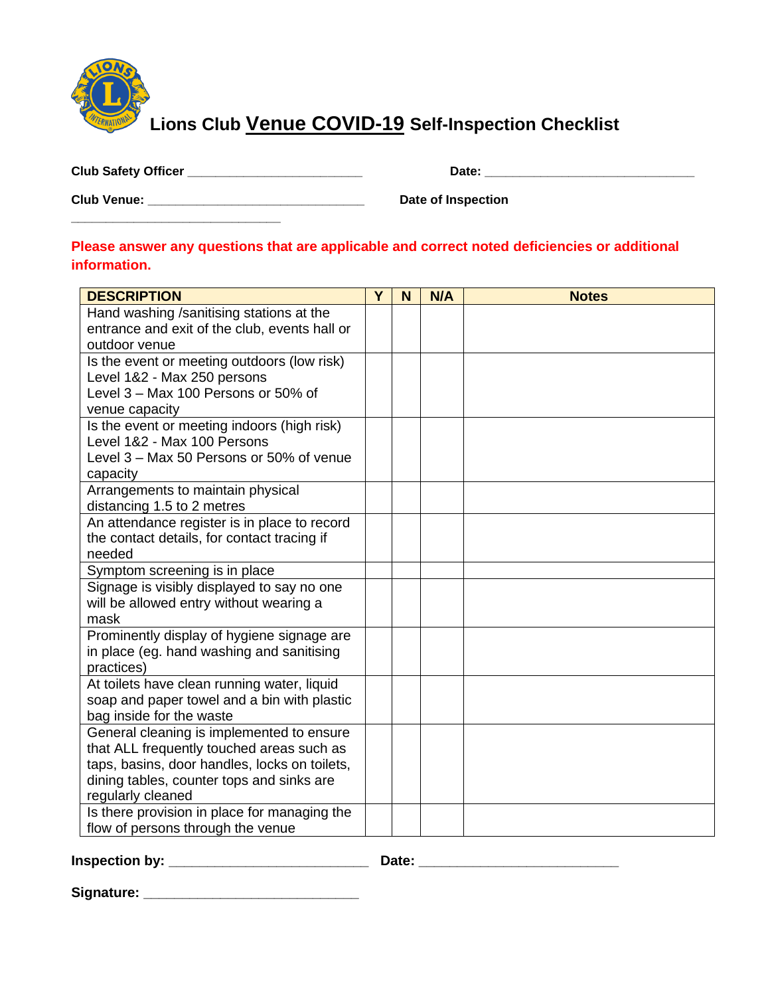

**Lions Club Venue COVID-19 Self-Inspection Checklist** 

| <b>Club Safety Officer</b> |  |
|----------------------------|--|
|----------------------------|--|

**\_\_\_\_\_\_\_\_\_\_\_\_\_\_\_\_\_\_\_\_\_\_\_\_\_\_\_\_\_\_**

**Club Safety Officer \_\_\_\_\_\_\_\_\_\_\_\_\_\_\_\_\_\_\_\_\_\_\_\_\_ Date: \_\_\_\_\_\_\_\_\_\_\_\_\_\_\_\_\_\_\_\_\_\_\_\_\_\_\_\_\_\_**

**Club Venue: \_\_\_\_\_\_\_\_\_\_\_\_\_\_\_\_\_\_\_\_\_\_\_\_\_\_\_\_\_\_\_ Date of Inspection** 

## **Please answer any questions that are applicable and correct noted deficiencies or additional information.**

| <b>DESCRIPTION</b>                                                 | Y | N | N/A | <b>Notes</b> |
|--------------------------------------------------------------------|---|---|-----|--------------|
| Hand washing /sanitising stations at the                           |   |   |     |              |
| entrance and exit of the club, events hall or                      |   |   |     |              |
| outdoor venue                                                      |   |   |     |              |
| Is the event or meeting outdoors (low risk)                        |   |   |     |              |
| Level 1&2 - Max 250 persons<br>Level 3 - Max 100 Persons or 50% of |   |   |     |              |
| venue capacity                                                     |   |   |     |              |
| Is the event or meeting indoors (high risk)                        |   |   |     |              |
| Level 1&2 - Max 100 Persons                                        |   |   |     |              |
| Level 3 – Max 50 Persons or 50% of venue                           |   |   |     |              |
| capacity                                                           |   |   |     |              |
| Arrangements to maintain physical                                  |   |   |     |              |
| distancing 1.5 to 2 metres                                         |   |   |     |              |
| An attendance register is in place to record                       |   |   |     |              |
| the contact details, for contact tracing if                        |   |   |     |              |
| needed                                                             |   |   |     |              |
| Symptom screening is in place                                      |   |   |     |              |
| Signage is visibly displayed to say no one                         |   |   |     |              |
| will be allowed entry without wearing a<br>mask                    |   |   |     |              |
| Prominently display of hygiene signage are                         |   |   |     |              |
| in place (eg. hand washing and sanitising                          |   |   |     |              |
| practices)                                                         |   |   |     |              |
| At toilets have clean running water, liquid                        |   |   |     |              |
| soap and paper towel and a bin with plastic                        |   |   |     |              |
| bag inside for the waste                                           |   |   |     |              |
| General cleaning is implemented to ensure                          |   |   |     |              |
| that ALL frequently touched areas such as                          |   |   |     |              |
| taps, basins, door handles, locks on toilets,                      |   |   |     |              |
| dining tables, counter tops and sinks are                          |   |   |     |              |
| regularly cleaned                                                  |   |   |     |              |
| Is there provision in place for managing the                       |   |   |     |              |
| flow of persons through the venue                                  |   |   |     |              |

**Inspection by: \_\_\_\_\_\_\_\_\_\_\_\_\_\_\_\_\_\_\_\_\_\_\_\_\_\_ Date: \_\_\_\_\_\_\_\_\_\_\_\_\_\_\_\_\_\_\_\_\_\_\_\_\_\_**

**Signature: \_\_\_\_\_\_\_\_\_\_\_\_\_\_\_\_\_\_\_\_\_\_\_\_\_\_\_\_**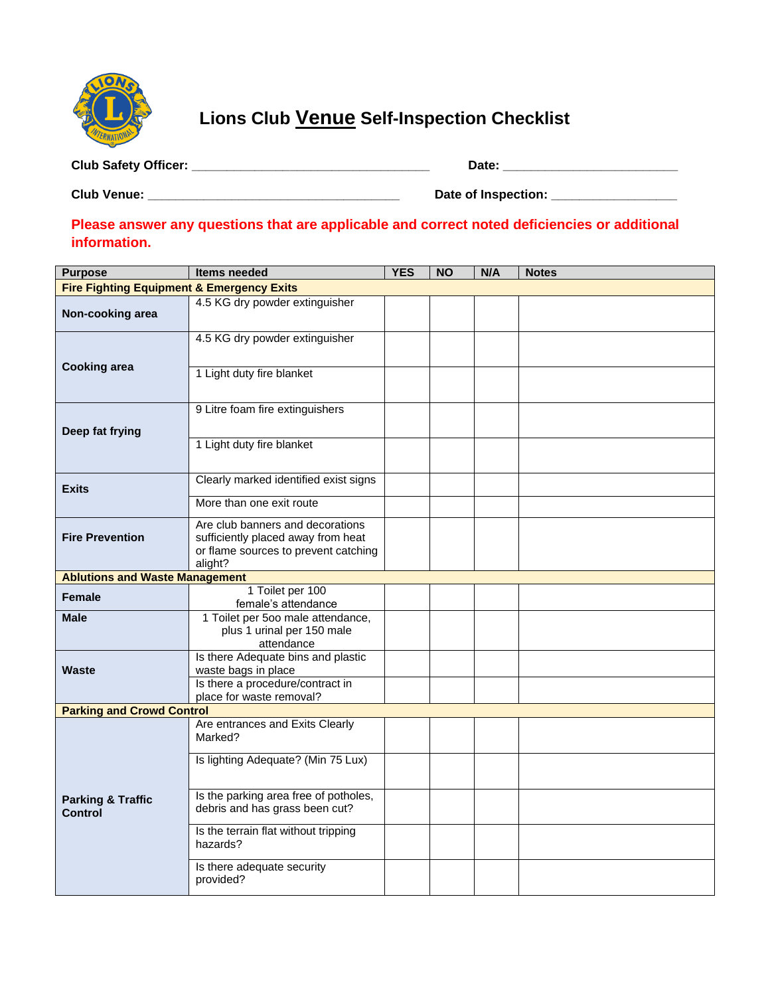

**Lions Club Venue Self-Inspection Checklist** 

**Club Safety Officer: \_\_\_\_\_\_\_\_\_\_\_\_\_\_\_\_\_\_\_\_\_\_\_\_\_\_\_\_\_\_\_\_\_\_ Date: \_\_\_\_\_\_\_\_\_\_\_\_\_\_\_\_\_\_\_\_\_\_\_\_\_**

**Club Venue: \_\_\_\_\_\_\_\_\_\_\_\_\_\_\_\_\_\_\_\_\_\_\_\_\_\_\_\_\_\_\_\_\_\_\_\_ Date of Inspection: \_\_\_\_\_\_\_\_\_\_\_\_\_\_\_\_\_\_**

**Please answer any questions that are applicable and correct noted deficiencies or additional information.**

| <b>Purpose</b>                                       | Items needed                                                                                                              | <b>YES</b> | <b>NO</b> | N/A | <b>Notes</b> |  |  |
|------------------------------------------------------|---------------------------------------------------------------------------------------------------------------------------|------------|-----------|-----|--------------|--|--|
| <b>Fire Fighting Equipment &amp; Emergency Exits</b> |                                                                                                                           |            |           |     |              |  |  |
| Non-cooking area                                     | 4.5 KG dry powder extinguisher                                                                                            |            |           |     |              |  |  |
|                                                      | 4.5 KG dry powder extinguisher                                                                                            |            |           |     |              |  |  |
| <b>Cooking area</b>                                  | 1 Light duty fire blanket                                                                                                 |            |           |     |              |  |  |
| Deep fat frying                                      | 9 Litre foam fire extinguishers                                                                                           |            |           |     |              |  |  |
|                                                      | 1 Light duty fire blanket                                                                                                 |            |           |     |              |  |  |
| <b>Exits</b>                                         | Clearly marked identified exist signs                                                                                     |            |           |     |              |  |  |
|                                                      | More than one exit route                                                                                                  |            |           |     |              |  |  |
| <b>Fire Prevention</b>                               | Are club banners and decorations<br>sufficiently placed away from heat<br>or flame sources to prevent catching<br>alight? |            |           |     |              |  |  |
| <b>Ablutions and Waste Management</b>                |                                                                                                                           |            |           |     |              |  |  |
| <b>Female</b>                                        | 1 Toilet per 100<br>female's attendance                                                                                   |            |           |     |              |  |  |
| <b>Male</b>                                          | 1 Toilet per 500 male attendance,<br>plus 1 urinal per 150 male<br>attendance                                             |            |           |     |              |  |  |
| <b>Waste</b>                                         | Is there Adequate bins and plastic<br>waste bags in place                                                                 |            |           |     |              |  |  |
|                                                      | Is there a procedure/contract in<br>place for waste removal?                                                              |            |           |     |              |  |  |
| <b>Parking and Crowd Control</b>                     |                                                                                                                           |            |           |     |              |  |  |
|                                                      | Are entrances and Exits Clearly<br>Marked?                                                                                |            |           |     |              |  |  |
|                                                      | Is lighting Adequate? (Min 75 Lux)                                                                                        |            |           |     |              |  |  |
| <b>Parking &amp; Traffic</b><br><b>Control</b>       | Is the parking area free of potholes,<br>debris and has grass been cut?                                                   |            |           |     |              |  |  |
|                                                      | Is the terrain flat without tripping<br>hazards?                                                                          |            |           |     |              |  |  |
|                                                      | Is there adequate security<br>provided?                                                                                   |            |           |     |              |  |  |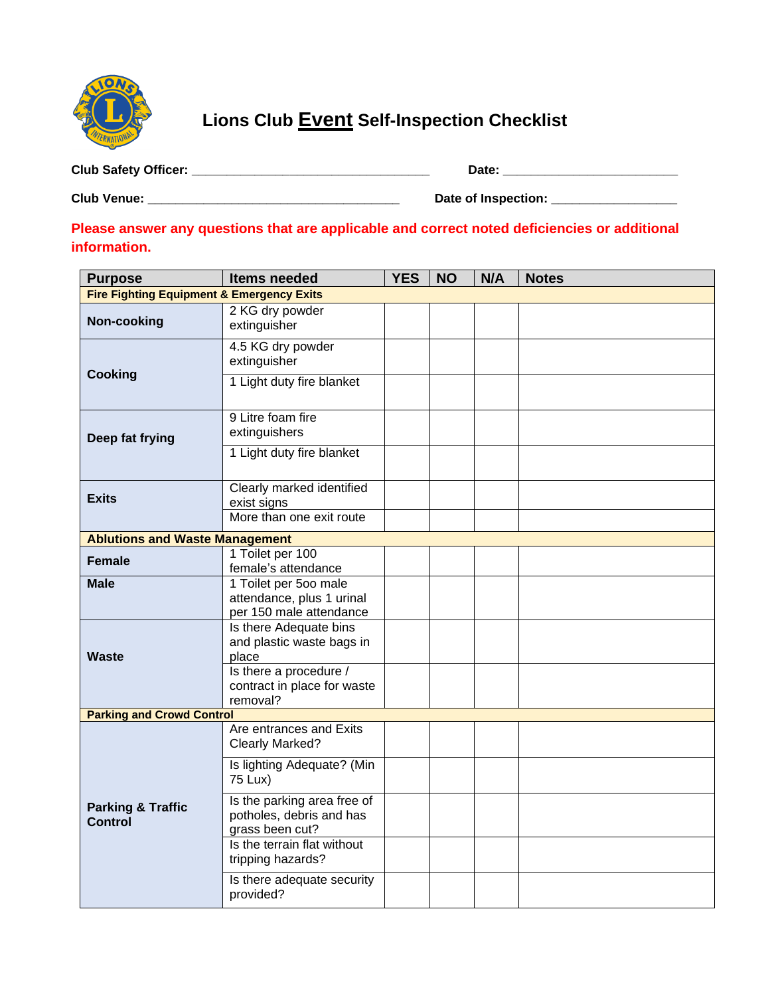

**Lions Club Event Self-Inspection Checklist** 

**Club Safety Officer: \_\_\_\_\_\_\_\_\_\_\_\_\_\_\_\_\_\_\_\_\_\_\_\_\_\_\_\_\_\_\_\_\_\_ Date: \_\_\_\_\_\_\_\_\_\_\_\_\_\_\_\_\_\_\_\_\_\_\_\_\_**

**Club Venue: \_\_\_\_\_\_\_\_\_\_\_\_\_\_\_\_\_\_\_\_\_\_\_\_\_\_\_\_\_\_\_\_\_\_\_\_ Date of Inspection: \_\_\_\_\_\_\_\_\_\_\_\_\_\_\_\_\_\_**

**Please answer any questions that are applicable and correct noted deficiencies or additional information.**

| <b>Purpose</b>                                       | <b>Items needed</b>                                                                    | <b>YES</b> | <b>NO</b> | N/A | <b>Notes</b> |  |  |  |
|------------------------------------------------------|----------------------------------------------------------------------------------------|------------|-----------|-----|--------------|--|--|--|
| <b>Fire Fighting Equipment &amp; Emergency Exits</b> |                                                                                        |            |           |     |              |  |  |  |
| Non-cooking                                          | 2 KG dry powder<br>extinguisher                                                        |            |           |     |              |  |  |  |
| <b>Cooking</b>                                       | 4.5 KG dry powder<br>extinguisher                                                      |            |           |     |              |  |  |  |
|                                                      | 1 Light duty fire blanket                                                              |            |           |     |              |  |  |  |
| Deep fat frying                                      | 9 Litre foam fire<br>extinguishers                                                     |            |           |     |              |  |  |  |
|                                                      | 1 Light duty fire blanket                                                              |            |           |     |              |  |  |  |
| <b>Exits</b>                                         | Clearly marked identified<br>exist signs                                               |            |           |     |              |  |  |  |
|                                                      | More than one exit route                                                               |            |           |     |              |  |  |  |
| <b>Ablutions and Waste Management</b>                |                                                                                        |            |           |     |              |  |  |  |
| <b>Female</b>                                        | 1 Toilet per 100<br>female's attendance                                                |            |           |     |              |  |  |  |
| <b>Male</b>                                          | 1 Toilet per 500 male<br>attendance, plus 1 urinal<br>per 150 male attendance          |            |           |     |              |  |  |  |
| <b>Waste</b>                                         | Is there Adequate bins<br>and plastic waste bags in<br>place<br>Is there a procedure / |            |           |     |              |  |  |  |
|                                                      | contract in place for waste<br>removal?                                                |            |           |     |              |  |  |  |
| <b>Parking and Crowd Control</b>                     |                                                                                        |            |           |     |              |  |  |  |
|                                                      | Are entrances and Exits<br>Clearly Marked?                                             |            |           |     |              |  |  |  |
| <b>Parking &amp; Traffic</b><br><b>Control</b>       | Is lighting Adequate? (Min<br>75 Lux)                                                  |            |           |     |              |  |  |  |
|                                                      | Is the parking area free of<br>potholes, debris and has<br>grass been cut?             |            |           |     |              |  |  |  |
|                                                      | Is the terrain flat without<br>tripping hazards?                                       |            |           |     |              |  |  |  |
|                                                      | Is there adequate security<br>provided?                                                |            |           |     |              |  |  |  |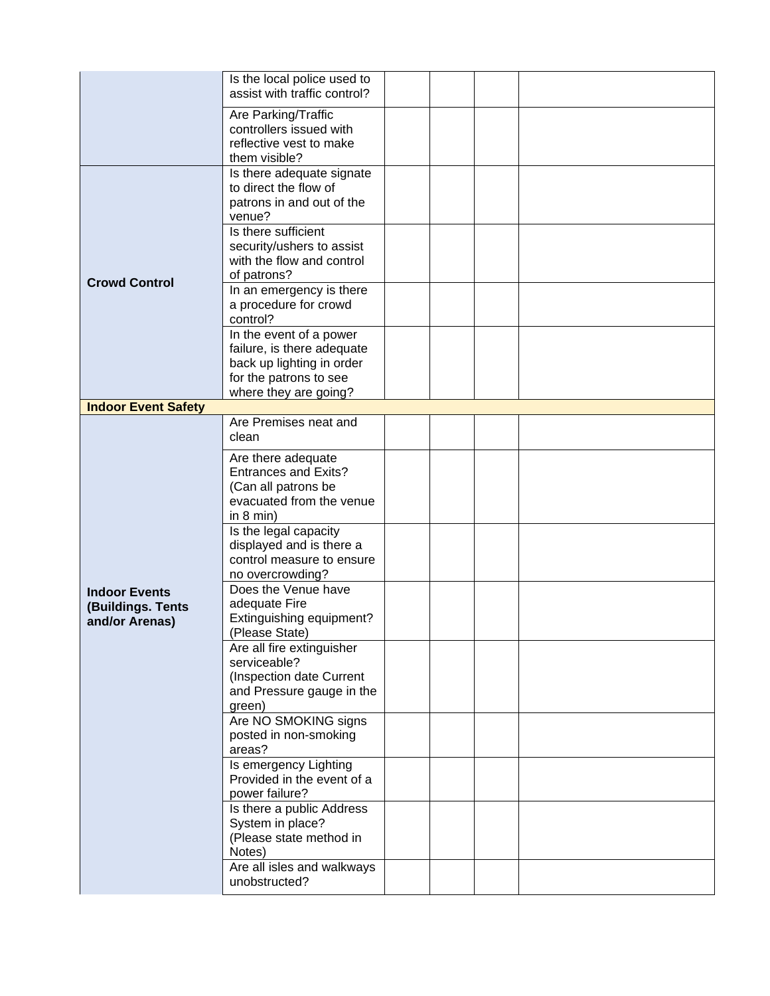|                                                             | Is the local police used to<br>assist with traffic control?                                                                           |  |  |
|-------------------------------------------------------------|---------------------------------------------------------------------------------------------------------------------------------------|--|--|
|                                                             | Are Parking/Traffic<br>controllers issued with<br>reflective vest to make<br>them visible?                                            |  |  |
|                                                             | Is there adequate signate<br>to direct the flow of<br>patrons in and out of the<br>venue?                                             |  |  |
| <b>Crowd Control</b>                                        | Is there sufficient<br>security/ushers to assist<br>with the flow and control<br>of patrons?                                          |  |  |
|                                                             | In an emergency is there<br>a procedure for crowd<br>control?                                                                         |  |  |
|                                                             | In the event of a power<br>failure, is there adequate<br>back up lighting in order<br>for the patrons to see<br>where they are going? |  |  |
| <b>Indoor Event Safety</b>                                  |                                                                                                                                       |  |  |
|                                                             | Are Premises neat and<br>clean                                                                                                        |  |  |
|                                                             | Are there adequate<br><b>Entrances and Exits?</b><br>(Can all patrons be<br>evacuated from the venue<br>in $8 \text{ min}$ )          |  |  |
|                                                             | Is the legal capacity<br>displayed and is there a<br>control measure to ensure<br>no overcrowding?                                    |  |  |
| <b>Indoor Events</b><br>(Buildings. Tents<br>and/or Arenas) | Does the Venue have<br>adequate Fire<br>Extinguishing equipment?<br>(Please State)                                                    |  |  |
|                                                             | Are all fire extinguisher<br>serviceable?<br>(Inspection date Current<br>and Pressure gauge in the<br>green)                          |  |  |
|                                                             | Are NO SMOKING signs<br>posted in non-smoking<br>areas?                                                                               |  |  |
|                                                             | Is emergency Lighting<br>Provided in the event of a<br>power failure?                                                                 |  |  |
|                                                             | Is there a public Address<br>System in place?<br>(Please state method in<br>Notes)                                                    |  |  |
|                                                             | Are all isles and walkways<br>unobstructed?                                                                                           |  |  |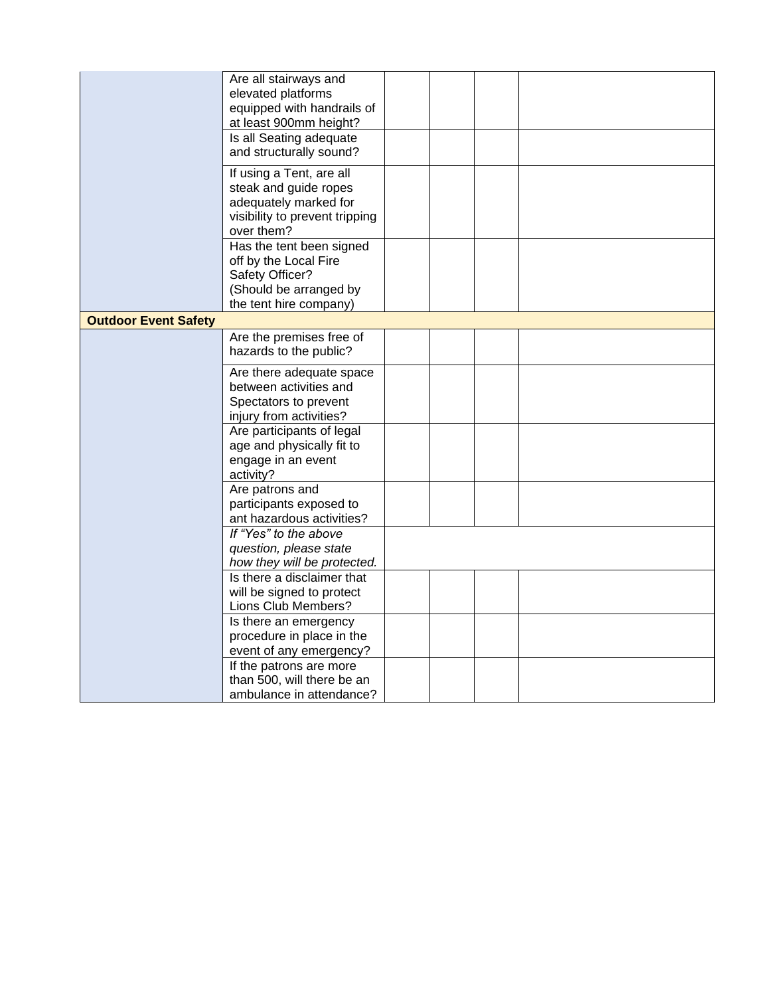|                             | Are all stairways and          |  |  |
|-----------------------------|--------------------------------|--|--|
|                             | elevated platforms             |  |  |
|                             | equipped with handrails of     |  |  |
|                             | at least 900mm height?         |  |  |
|                             | Is all Seating adequate        |  |  |
|                             | and structurally sound?        |  |  |
|                             | If using a Tent, are all       |  |  |
|                             | steak and guide ropes          |  |  |
|                             | adequately marked for          |  |  |
|                             | visibility to prevent tripping |  |  |
|                             | over them?                     |  |  |
|                             | Has the tent been signed       |  |  |
|                             | off by the Local Fire          |  |  |
|                             | Safety Officer?                |  |  |
|                             | (Should be arranged by         |  |  |
|                             | the tent hire company)         |  |  |
| <b>Outdoor Event Safety</b> |                                |  |  |
|                             | Are the premises free of       |  |  |
|                             | hazards to the public?         |  |  |
|                             | Are there adequate space       |  |  |
|                             | between activities and         |  |  |
|                             | Spectators to prevent          |  |  |
|                             | injury from activities?        |  |  |
|                             | Are participants of legal      |  |  |
|                             | age and physically fit to      |  |  |
|                             | engage in an event             |  |  |
|                             | activity?                      |  |  |
|                             | Are patrons and                |  |  |
|                             | participants exposed to        |  |  |
|                             | ant hazardous activities?      |  |  |
|                             | If "Yes" to the above          |  |  |
|                             | question, please state         |  |  |
|                             | how they will be protected.    |  |  |
|                             | Is there a disclaimer that     |  |  |
|                             | will be signed to protect      |  |  |
|                             | Lions Club Members?            |  |  |
|                             | Is there an emergency          |  |  |
|                             | procedure in place in the      |  |  |
|                             | event of any emergency?        |  |  |
|                             | If the patrons are more        |  |  |
|                             | than 500, will there be an     |  |  |
|                             | ambulance in attendance?       |  |  |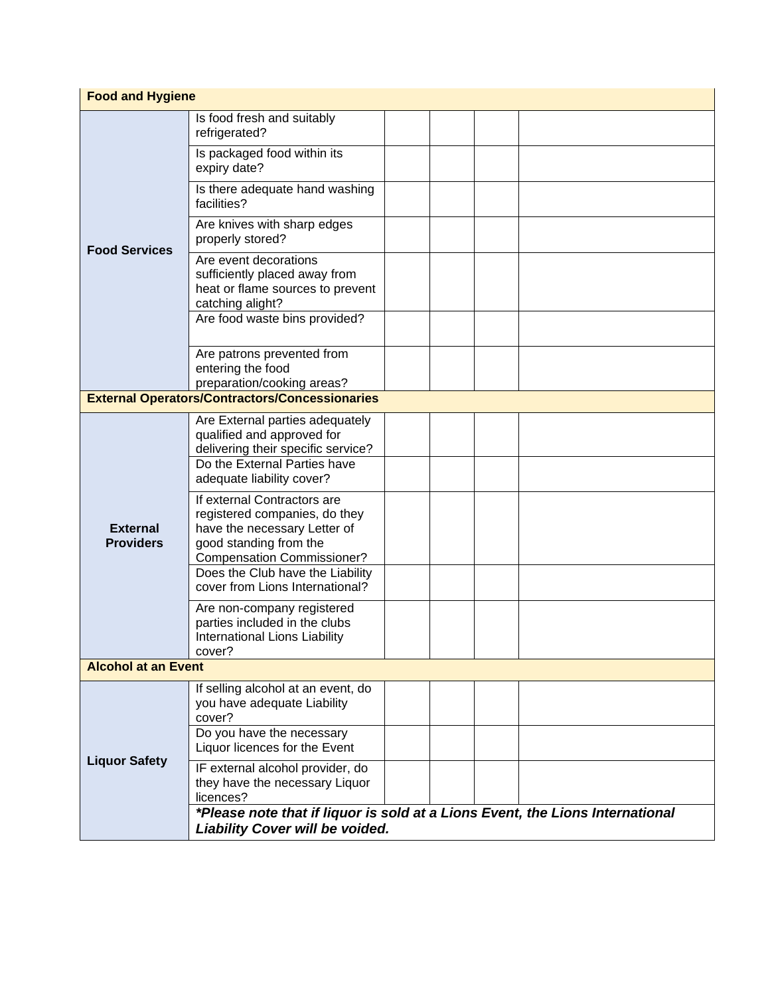| <b>Food and Hygiene</b>             |                                                                                                                                                                                                                                             |  |  |  |  |
|-------------------------------------|---------------------------------------------------------------------------------------------------------------------------------------------------------------------------------------------------------------------------------------------|--|--|--|--|
|                                     | Is food fresh and suitably<br>refrigerated?                                                                                                                                                                                                 |  |  |  |  |
| <b>Food Services</b>                | Is packaged food within its<br>expiry date?                                                                                                                                                                                                 |  |  |  |  |
|                                     | Is there adequate hand washing<br>facilities?                                                                                                                                                                                               |  |  |  |  |
|                                     | Are knives with sharp edges<br>properly stored?                                                                                                                                                                                             |  |  |  |  |
|                                     | Are event decorations<br>sufficiently placed away from<br>heat or flame sources to prevent<br>catching alight?                                                                                                                              |  |  |  |  |
|                                     | Are food waste bins provided?                                                                                                                                                                                                               |  |  |  |  |
|                                     | Are patrons prevented from<br>entering the food<br>preparation/cooking areas?                                                                                                                                                               |  |  |  |  |
|                                     | <b>External Operators/Contractors/Concessionaries</b>                                                                                                                                                                                       |  |  |  |  |
| <b>External</b><br><b>Providers</b> | Are External parties adequately<br>qualified and approved for<br>delivering their specific service?<br>Do the External Parties have<br>adequate liability cover?                                                                            |  |  |  |  |
|                                     | If external Contractors are<br>registered companies, do they<br>have the necessary Letter of<br>good standing from the<br><b>Compensation Commissioner?</b><br>Does the Club have the Liability                                             |  |  |  |  |
|                                     | cover from Lions International?                                                                                                                                                                                                             |  |  |  |  |
|                                     | Are non-company registered<br>parties included in the clubs<br>International Lions Liability<br>cover?                                                                                                                                      |  |  |  |  |
| <b>Alcohol at an Event</b>          |                                                                                                                                                                                                                                             |  |  |  |  |
|                                     | If selling alcohol at an event, do<br>you have adequate Liability<br>cover?<br>Do you have the necessary                                                                                                                                    |  |  |  |  |
| <b>Liquor Safety</b>                | Liquor licences for the Event<br>IF external alcohol provider, do<br>they have the necessary Liquor<br>licences?<br>*Please note that if liquor is sold at a Lions Event, the Lions International<br><b>Liability Cover will be voided.</b> |  |  |  |  |
|                                     |                                                                                                                                                                                                                                             |  |  |  |  |